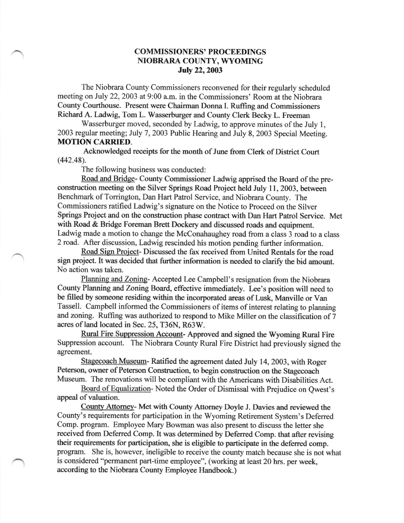## COMMISSIONERS' PROCEEDINGS NIOBRARA COUNTY, WYOMING **July 22, 2003**

The Niobrara County Commissioners reconvened for their regularly scheduled meeting on July 22,2003 at 9:00 a.m. in the Commissioners' Room at the Niobrara County Courthouse. Present were Chairman Donna I. Ruffing and Commissioners Richard A. ladwig, Tom L. Wasserburger and County Clerk Becky L. Freeman

Wasserburger moved, seconded by Ladwig, to approve minutes of the July 1, 2003 regular meeting; July 7, 2003 Public Hearing and July 8, 2003 Special Meeting. **MOTION CARRIED.** 

Acknowledged receipts for the month of June from Clerk of District Court (442.48).

The following business was conducted:

Road and Bridge- County Commissioner Ladwig apprised the Board of the preconstruction meeting on the Silver Springs Road Project held July 11,2003, between Benchmark of Torrington, Dan Hart Patrol Service, and Niobrara County. The Commissioners ratified Ladwig's signature on the Notice to Proceed on the Silver Springs Project and on the construction phase contract with Dan Hart Patrol Service. Met with Road & Bridge Foreman Brett Dockery and discussed roads and equipment. Ladwig made a motion to change the McConahaughey road from a class 3 road to a class 2 road. After discussion, Ladwig rescinded his motion pending further information.

Road Sign Project- Discussed the fax received from United Rentals for the road sign project. It was decided that further information is needed to clarify the bid amount. No action was taken.

Planning and Zoning- Accepted Lee Campbell's resignation from the Niobrara County Planning and Zoning Board, effective immediately. Lee's position will need to be filled by someone residing within the incorporated areas of Lusk, Manville or Van Tassell. Campbell informed the Commissioners of items of interest relating to planning and zoning. Ruffing was authorized to respond to Mike Miller on the classification of 7 acres of land located in Sec. 25, T36N, R63W.

Rural Fire Suppression Account- Approved and signed the Wyoming Rural Fire Suppression account. The Niobrara County Rural Fire District had previously signed the agreement.

Stagecoach Museum- Ratified the agreement dated July 14, 2003, with Roger Peterson, owner of Peterson Construction, to begin construction on the Stagecoach Museum. The renovations will be compliant with the Americans with Disabilities Act.

Board of Equalization- Noted the Order of Dismissal with Prejudice on Qwest's appeal of valuation.

County Attorney- Met with County Attorney Doyle J. Davies and reviewed the County's requirements for participation in the Wyoming Retirement System's Deferred Comp. program. Employee Mary Bowman was also present to discuss the letter she received from Deferred Comp. It was determined by Deferred Comp. that after revising their requirements for participation, she is eligible to participate in the deferred comp. program. She is, however, ineligible to receive the county match because she is not what is considered "permanent part-time employee", (working at least 20 hrs. per week, according to the Niobrara County Employee Handbook.)